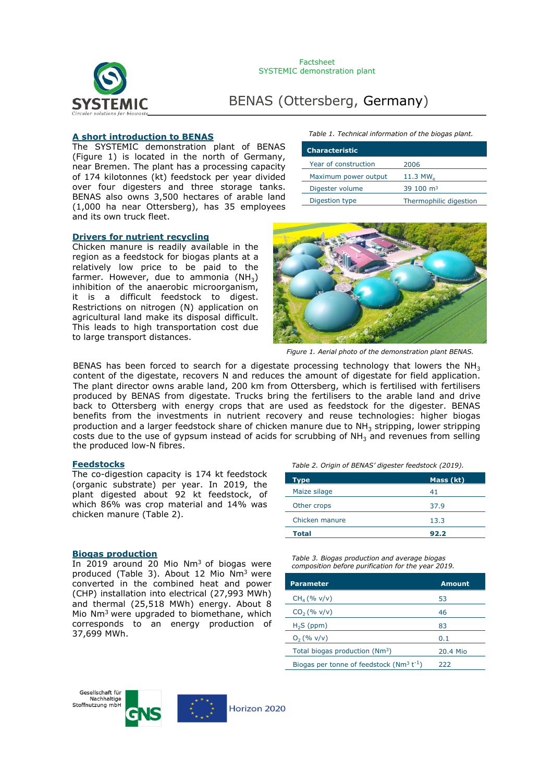

# BENAS (Ottersberg, Germany)

# **A short introduction to BENAS**

The SYSTEMIC demonstration plant of BENAS (Figure 1) is located in the north of Germany, near Bremen. The plant has a processing capacity of 174 kilotonnes (kt) feedstock per year divided over four digesters and three storage tanks. BENAS also owns 3,500 hectares of arable land (1,000 ha near Ottersberg), has 35 employees and its own truck fleet.

#### **Drivers for nutrient recycling**

Chicken manure is readily available in the region as a feedstock for biogas plants at a relatively low price to be paid to the farmer. However, due to ammonia  $(NH_3)$ inhibition of the anaerobic microorganism, it is a difficult feedstock to digest. Restrictions on nitrogen (N) application on agricultural land make its disposal difficult. This leads to high transportation cost due to large transport distances.

*Table 1. Technical information of the biogas plant.*

| <b>Characteristic</b> |                                          |
|-----------------------|------------------------------------------|
| Year of construction  | 2006                                     |
| Maximum power output  | $11.3$ MW <sub><math>\alpha</math></sub> |
| Digester volume       | 39 100 $m3$                              |
| Digestion type        | Thermophilic digestion                   |



*Figure 1. Aerial photo of the demonstration plant BENAS.*

BENAS has been forced to search for a digestate processing technology that lowers the NH<sub>3</sub> content of the digestate, recovers N and reduces the amount of digestate for field application. The plant director owns arable land, 200 km from Ottersberg, which is fertilised with fertilisers produced by BENAS from digestate. Trucks bring the fertilisers to the arable land and drive back to Ottersberg with energy crops that are used as feedstock for the digester. BENAS benefits from the investments in nutrient recovery and reuse technologies: higher biogas production and a larger feedstock share of chicken manure due to  $NH<sub>3</sub>$  stripping, lower stripping costs due to the use of gypsum instead of acids for scrubbing of  $NH<sub>3</sub>$  and revenues from selling the produced low-N fibres.

#### **Feedstocks** *Table 2. Origin of BENAS' digester feedstock (2019).*

The co-digestion capacity is 174 kt feedstock (organic substrate) per year. In 2019, the plant digested about 92 kt feedstock, of which 86% was crop material and 14% was chicken manure (Table 2).

### **Biogas production**

In 2019 around 20 Mio Nm<sup>3</sup> of biogas were produced (Table 3). About 12 Mio Nm<sup>3</sup> were converted in the combined heat and power (CHP) installation into electrical (27,993 MWh) and thermal (25,518 MWh) energy. About 8 Mio Nm3 were upgraded to biomethane, which corresponds to an energy production of 37,699 MWh.

| Table 2. Origin of BENAS' digester feedstock (2019) |  |  |  |  |
|-----------------------------------------------------|--|--|--|--|
|-----------------------------------------------------|--|--|--|--|

| Type           | Mass (kt) |
|----------------|-----------|
| Maize silage   | 41        |
| Other crops    | 37.9      |
| Chicken manure | 13.3      |
| <b>Total</b>   | 92.2      |

*Table 3. Biogas production and average biogas composition before purification for the year 2019.*

| <b>Parameter</b>                                         | <b>Amount</b> |
|----------------------------------------------------------|---------------|
| $CH_4 (% v/v)$                                           | 53            |
| $CO2(\% v/v)$                                            | 46            |
| $H2S$ (ppm)                                              | 83            |
| $O_2$ (% v/v)                                            | 0.1           |
| Total biogas production (Nm <sup>3</sup> )               | 20.4 Mio      |
| Biogas per tonne of feedstock ( $Nm^3$ t <sup>-1</sup> ) | 222           |

Gesellschaft für Nachhaltige Stoffnutzung mbH

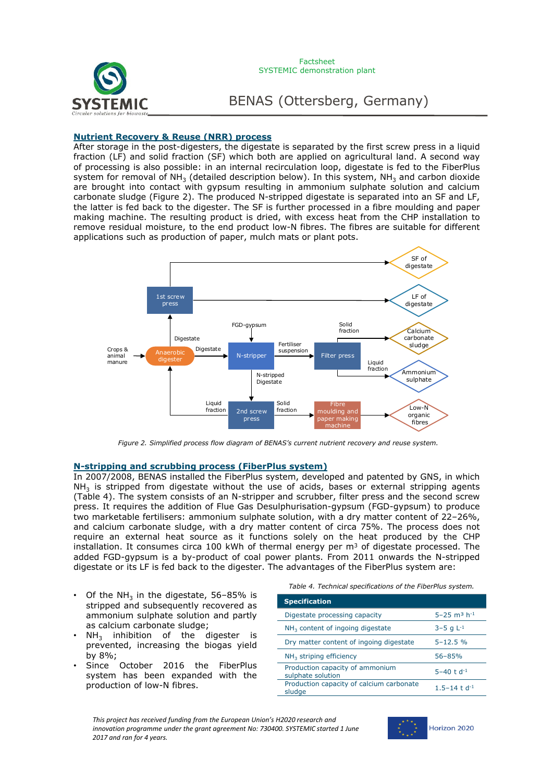

BENAS (Ottersberg, Germany)

# **Nutrient Recovery & Reuse (NRR) process**

After storage in the post-digesters, the digestate is separated by the first screw press in a liquid fraction (LF) and solid fraction (SF) which both are applied on agricultural land. A second way of processing is also possible: in an internal recirculation loop, digestate is fed to the FiberPlus system for removal of NH<sub>3</sub> (detailed description below). In this system, NH<sub>3</sub> and carbon dioxide are brought into contact with gypsum resulting in ammonium sulphate solution and calcium carbonate sludge (Figure 2). The produced N-stripped digestate is separated into an SF and LF, the latter is fed back to the digester. The SF is further processed in a fibre moulding and paper making machine. The resulting product is dried, with excess heat from the CHP installation to remove residual moisture, to the end product low-N fibres. The fibres are suitable for different applications such as production of paper, mulch mats or plant pots.



*Figure 2. Simplified process flow diagram of BENAS's current nutrient recovery and reuse system.*

# **N-stripping and scrubbing process (FiberPlus system)**

In 2007/2008, BENAS installed the FiberPlus system, developed and patented by GNS, in which  $NH<sub>3</sub>$  is stripped from digestate without the use of acids, bases or external stripping agents (Table 4). The system consists of an N-stripper and scrubber, filter press and the second screw press. It requires the addition of Flue Gas Desulphurisation-gypsum (FGD-gypsum) to produce two marketable fertilisers: ammonium sulphate solution, with a dry matter content of 22–26%, and calcium carbonate sludge, with a dry matter content of circa 75%. The process does not require an external heat source as it functions solely on the heat produced by the CHP installation. It consumes circa 100 kWh of thermal energy per  $m<sup>3</sup>$  of digestate processed. The added FGD-gypsum is a by-product of coal power plants. From 2011 onwards the N-stripped digestate or its LF is fed back to the digester. The advantages of the FiberPlus system are:

- Of the NH<sub>3</sub> in the digestate,  $56-85%$  is stripped and subsequently recovered as ammonium sulphate solution and partly as calcium carbonate sludge;
- $NH<sub>3</sub>$  inhibition of the digester is prevented, increasing the biogas yield by 8%;
- Since October 2016 the FiberPlus system has been expanded with the production of low-N fibres.

*Table 4. Technical specifications of the FiberPlus system.*

| <b>Specification</b>                                 |                                         |
|------------------------------------------------------|-----------------------------------------|
| Digestate processing capacity                        | $5 - 25$ m <sup>3</sup> h <sup>-1</sup> |
| $NH3$ content of ingoing digestate                   | $3-5$ g $L^{-1}$                        |
| Dry matter content of ingoing digestate              | $5 - 12.5 %$                            |
| $NH3$ striping efficiency                            | $56 - 85%$                              |
| Production capacity of ammonium<br>sulphate solution | $5 - 40$ t d <sup>-1</sup>              |
| Production capacity of calcium carbonate<br>sludge   | 1.5–14 t d <sup>-1</sup>                |



Horizon 2020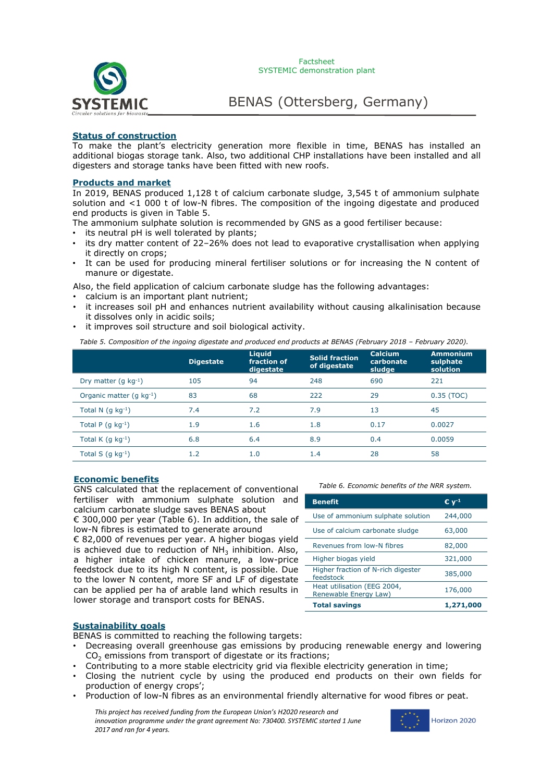

# **Status of construction**

To make the plant's electricity generation more flexible in time, BENAS has installed an additional biogas storage tank. Also, two additional CHP installations have been installed and all digesters and storage tanks have been fitted with new roofs.

## **Products and market**

In 2019, BENAS produced 1,128 t of calcium carbonate sludge, 3,545 t of ammonium sulphate solution and <1 000 t of low-N fibres. The composition of the ingoing digestate and produced end products is given in Table 5.

- The ammonium sulphate solution is recommended by GNS as a good fertiliser because:
- its neutral pH is well tolerated by plants;
- its dry matter content of 22–26% does not lead to evaporative crystallisation when applying it directly on crops;
- It can be used for producing mineral fertiliser solutions or for increasing the N content of manure or digestate.

Also, the field application of calcium carbonate sludge has the following advantages:

- calcium is an important plant nutrient;
- it increases soil pH and enhances nutrient availability without causing alkalinisation because it dissolves only in acidic soils;
- it improves soil structure and soil biological activity.

*Table 5. Composition of the ingoing digestate and produced end products at BENAS (February 2018 – February 2020).*

|                              | <b>Digestate</b> | <b>Liquid</b><br>fraction of<br>digestate | <b>Solid fraction</b><br>of digestate | <b>Calcium</b><br>carbonate<br>sludge | <b>Ammonium</b><br>sulphate<br>solution |
|------------------------------|------------------|-------------------------------------------|---------------------------------------|---------------------------------------|-----------------------------------------|
| Dry matter $(q kq^{-1})$     | 105              | 94                                        | 248                                   | 690                                   | 221                                     |
| Organic matter $(q kq^{-1})$ | 83               | 68                                        | 222                                   | 29                                    | 0.35 (TOC)                              |
| Total N $(q kq^{-1})$        | 7.4              | 7.2                                       | 7.9                                   | 13                                    | 45                                      |
| Total P $(q kq^{-1})$        | 1.9              | 1.6                                       | 1.8                                   | 0.17                                  | 0.0027                                  |
| Total K $(q kq^{-1})$        | 6.8              | 6.4                                       | 8.9                                   | 0.4                                   | 0.0059                                  |
| Total S $(q kq^{-1})$        | 1.2              | 1.0                                       | 1.4                                   | 28                                    | 58                                      |

# **Economic benefits**

GNS calculated that the replacement of conventional fertiliser with ammonium sulphate solution and calcium carbonate sludge saves BENAS about

€ 300,000 per year (Table 6). In addition, the sale of low-N fibres is estimated to generate around

€ 82,000 of revenues per year. A higher biogas yield is achieved due to reduction of  $NH<sub>3</sub>$  inhibition. Also, a higher intake of chicken manure, a low-price feedstock due to its high N content, is possible. Due to the lower N content, more SF and LF of digestate can be applied per ha of arable land which results in lower storage and transport costs for BENAS.

*Table 6. Economic benefits of the NRR system.*

| <b>Benefit</b>                                       | € v <sup>.1</sup> |
|------------------------------------------------------|-------------------|
| Use of ammonium sulphate solution                    | 244,000           |
| Use of calcium carbonate sludge                      | 63,000            |
| Revenues from low-N fibres                           | 82,000            |
| Higher biogas yield                                  | 321,000           |
| Higher fraction of N-rich digester<br>feedstock      | 385,000           |
| Heat utilisation (EEG 2004,<br>Renewable Energy Law) | 176,000           |
| <b>Total savings</b>                                 | 1,271,000         |

# **Sustainability goals**

BENAS is committed to reaching the following targets:

- Decreasing overall greenhouse gas emissions by producing renewable energy and lowering  $CO<sub>2</sub>$  emissions from transport of digestate or its fractions;
- Contributing to a more stable electricity grid via flexible electricity generation in time;
- Closing the nutrient cycle by using the produced end products on their own fields for production of energy crops';
- Production of low-N fibres as an environmental friendly alternative for wood fibres or peat.

*This project has received funding from the European Union's H2020 research and innovation programme under the grant agreement No: 730400. SYSTEMIC started 1 June 2017 and ran for 4 years.*

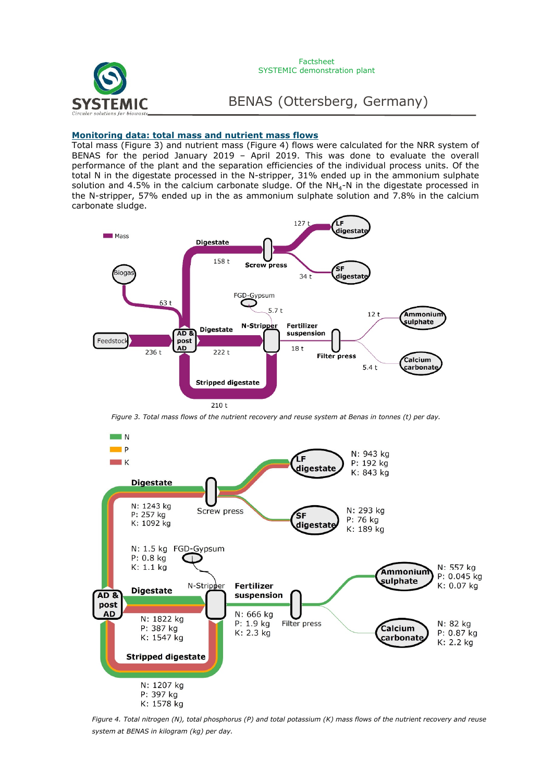

BENAS (Ottersberg, Germany)

# **Monitoring data: total mass and nutrient mass flows**

Total mass (Figure 3) and nutrient mass (Figure 4) flows were calculated for the NRR system of BENAS for the period January 2019 – April 2019. This was done to evaluate the overall performance of the plant and the separation efficiencies of the individual process units. Of the total N in the digestate processed in the N-stripper, 31% ended up in the ammonium sulphate solution and 4.5% in the calcium carbonate sludge. Of the  $NH<sub>4</sub>-N$  in the digestate processed in the N-stripper, 57% ended up in the as ammonium sulphate solution and 7.8% in the calcium carbonate sludge.



*Figure 3. Total mass flows of the nutrient recovery and reuse system at Benas in tonnes (t) per day.*



*Figure 4. Total nitrogen (N), total phosphorus (P) and total potassium (K) mass flows of the nutrient recovery and reuse system at BENAS in kilogram (kg) per day.*